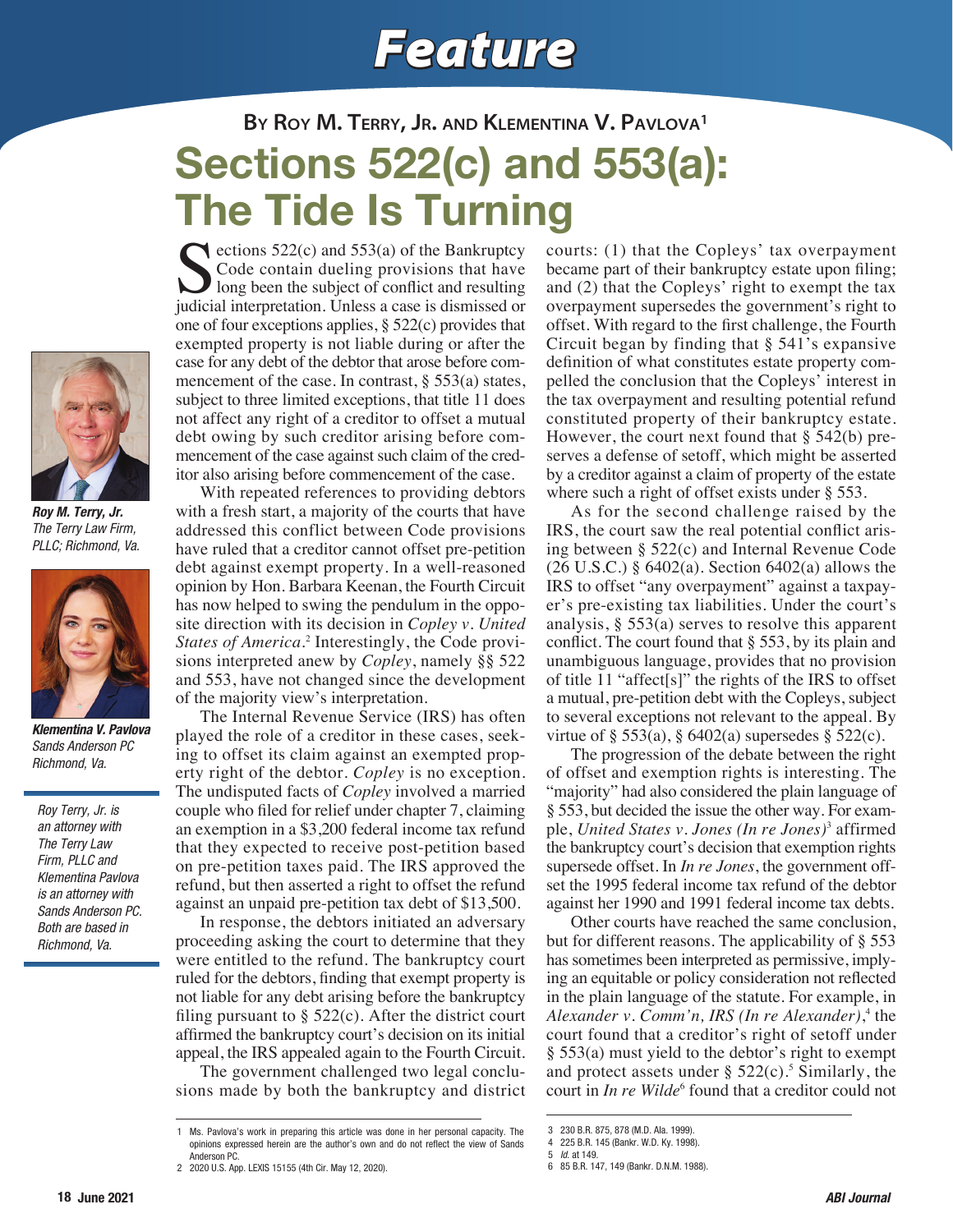## *Feature*

## **By Roy M. Terry, Jr. and Klementina V. Pavlova1** ections  $522(c)$  and  $553(a)$  of the Bankruptcy Sections 522(c) and 553(a): The Tide Is Turning

I long been the subject of conflict and resulting judicial interpretation. Unless a case is dismissed or one of four exceptions applies, § 522(c) provides that exempted property is not liable during or after the case for any debt of the debtor that arose before commencement of the case. In contrast,  $\S$  553(a) states, subject to three limited exceptions, that title 11 does not affect any right of a creditor to offset a mutual debt owing by such creditor arising before commencement of the case against such claim of the creditor also arising before commencement of the case.

With repeated references to providing debtors with a fresh start, a majority of the courts that have addressed this conflict between Code provisions have ruled that a creditor cannot offset pre-petition debt against exempt property. In a well-reasoned opinion by Hon. Barbara Keenan, the Fourth Circuit has now helped to swing the pendulum in the opposite direction with its decision in *Copley v. United*  States of America.<sup>2</sup> Interestingly, the Code provisions interpreted anew by *Copley*, namely §§ 522 and 553, have not changed since the development of the majority view's interpretation.

Code contain dueling provisions that have

The Internal Revenue Service (IRS) has often played the role of a creditor in these cases, seeking to offset its claim against an exempted property right of the debtor. *Copley* is no exception. The undisputed facts of *Copley* involved a married couple who filed for relief under chapter 7, claiming an exemption in a \$3,200 federal income tax refund that they expected to receive post-petition based on pre-petition taxes paid. The IRS approved the refund, but then asserted a right to offset the refund against an unpaid pre-petition tax debt of \$13,500.

In response, the debtors initiated an adversary proceeding asking the court to determine that they were entitled to the refund. The bankruptcy court ruled for the debtors, finding that exempt property is not liable for any debt arising before the bankruptcy filing pursuant to  $\S$  522(c). After the district court affirmed the bankruptcy court's decision on its initial appeal, the IRS appealed again to the Fourth Circuit.

The government challenged two legal conclusions made by both the bankruptcy and district

courts: (1) that the Copleys' tax overpayment became part of their bankruptcy estate upon filing; and (2) that the Copleys' right to exempt the tax overpayment supersedes the government's right to offset. With regard to the first challenge, the Fourth Circuit began by finding that § 541's expansive definition of what constitutes estate property compelled the conclusion that the Copleys' interest in the tax overpayment and resulting potential refund constituted property of their bankruptcy estate. However, the court next found that  $\S$  542(b) preserves a defense of setoff, which might be asserted by a creditor against a claim of property of the estate where such a right of offset exists under § 553.

As for the second challenge raised by the IRS, the court saw the real potential conflict arising between § 522(c) and Internal Revenue Code (26 U.S.C.) § 6402(a). Section 6402(a) allows the IRS to offset "any overpayment" against a taxpayer's pre-existing tax liabilities. Under the court's analysis, § 553(a) serves to resolve this apparent conflict. The court found that § 553, by its plain and unambiguous language, provides that no provision of title 11 "affect[s]" the rights of the IRS to offset a mutual, pre-petition debt with the Copleys, subject to several exceptions not relevant to the appeal. By virtue of  $\S 553(a)$ ,  $\S 6402(a)$  supersedes  $\S 522(c)$ .

The progression of the debate between the right of offset and exemption rights is interesting. The "majority" had also considered the plain language of § 553, but decided the issue the other way. For example, *United States v. Jones (In re Jones)*<sup>3</sup> affirmed the bankruptcy court's decision that exemption rights supersede offset. In *In re Jones*, the government offset the 1995 federal income tax refund of the debtor against her 1990 and 1991 federal income tax debts.

Other courts have reached the same conclusion, but for different reasons. The applicability of § 553 has sometimes been interpreted as permissive, implying an equitable or policy consideration not reflected in the plain language of the statute. For example, in Alexander v. Comm'n, IRS (In re Alexander),<sup>4</sup> the court found that a creditor's right of setoff under § 553(a) must yield to the debtor's right to exempt and protect assets under  $\S$  522(c).<sup>5</sup> Similarly, the court in *In re Wilde*<sup>6</sup> found that a creditor could not



*Roy M. Terry, Jr. The Terry Law Firm, PLLC; Richmond, Va.*



*Klementina V. Pavlova Sands Anderson PC Richmond, Va.*

*Roy Terry, Jr. is an attorney with The Terry Law Firm, PLLC and Klementina Pavlova is an attorney with Sands Anderson PC. Both are based in Richmond, Va.*

<sup>1</sup> Ms. Pavlova's work in preparing this article was done in her personal capacity. The opinions expressed herein are the author's own and do not reflect the view of Sands Anderson PC.

<sup>2</sup> 2020 U.S. App. LEXIS 15155 (4th Cir. May 12, 2020).

<sup>3</sup> 230 B.R. 875, 878 (M.D. Ala. 1999).

<sup>4</sup> 225 B.R. 145 (Bankr. W.D. Ky. 1998).

<sup>5</sup> *Id*. at 149.

<sup>6</sup> 85 B.R. 147, 149 (Bankr. D.N.M. 1988).